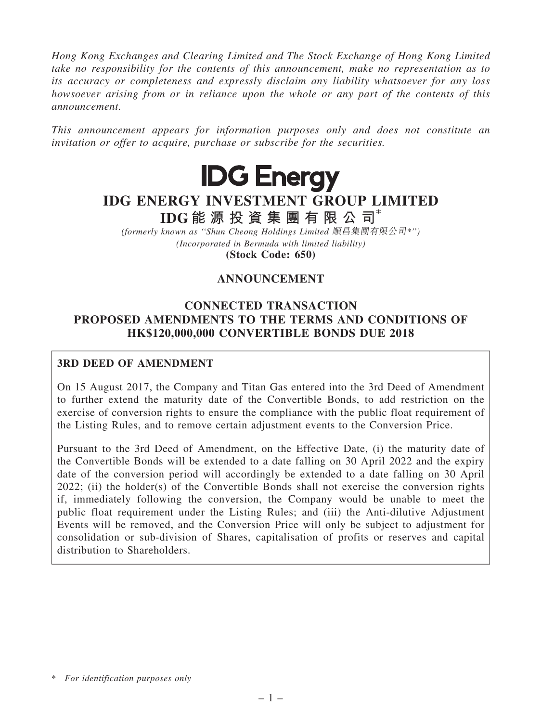Hong Kong Exchanges and Clearing Limited and The Stock Exchange of Hong Kong Limited take no responsibility for the contents of this announcement, make no representation as to its accuracy or completeness and expressly disclaim any liability whatsoever for any loss howsoever arising from or in reliance upon the whole or any part of the contents of this announcement.

This announcement appears for information purposes only and does not constitute an invitation or offer to acquire, purchase or subscribe for the securities.



# IDG ENERGY INVESTMENT GROUP LIMITED

IDG 能 源 投 資 集 團 有 限 公 司\* (formerly known as ''Shun Cheong Holdings Limited 順昌集團有限公司\*'')

(Incorporated in Bermuda with limited liability)

(Stock Code: 650)

# ANNOUNCEMENT

# CONNECTED TRANSACTION PROPOSED AMENDMENTS TO THE TERMS AND CONDITIONS OF HK\$120,000,000 CONVERTIBLE BONDS DUE 2018

# 3RD DEED OF AMENDMENT

On 15 August 2017, the Company and Titan Gas entered into the 3rd Deed of Amendment to further extend the maturity date of the Convertible Bonds, to add restriction on the exercise of conversion rights to ensure the compliance with the public float requirement of the Listing Rules, and to remove certain adjustment events to the Conversion Price.

Pursuant to the 3rd Deed of Amendment, on the Effective Date, (i) the maturity date of the Convertible Bonds will be extended to a date falling on 30 April 2022 and the expiry date of the conversion period will accordingly be extended to a date falling on 30 April 2022; (ii) the holder(s) of the Convertible Bonds shall not exercise the conversion rights if, immediately following the conversion, the Company would be unable to meet the public float requirement under the Listing Rules; and (iii) the Anti-dilutive Adjustment Events will be removed, and the Conversion Price will only be subject to adjustment for consolidation or sub-division of Shares, capitalisation of profits or reserves and capital distribution to Shareholders.

<sup>\*</sup> For identification purposes only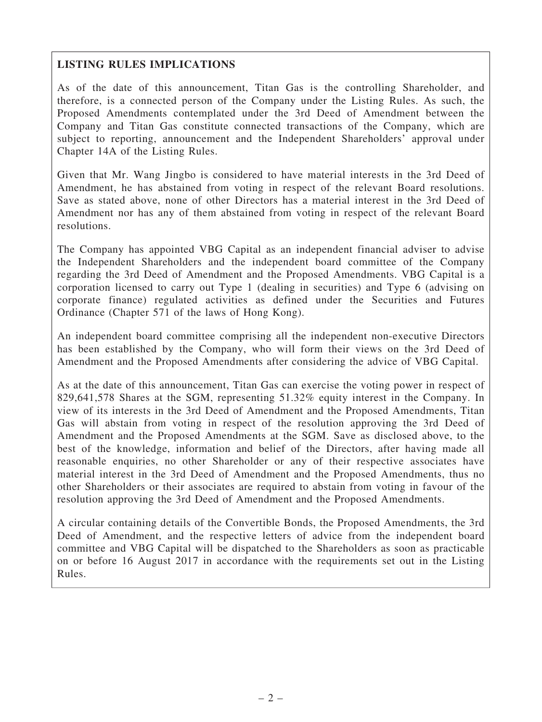# LISTING RULES IMPLICATIONS

As of the date of this announcement, Titan Gas is the controlling Shareholder, and therefore, is a connected person of the Company under the Listing Rules. As such, the Proposed Amendments contemplated under the 3rd Deed of Amendment between the Company and Titan Gas constitute connected transactions of the Company, which are subject to reporting, announcement and the Independent Shareholders' approval under Chapter 14A of the Listing Rules.

Given that Mr. Wang Jingbo is considered to have material interests in the 3rd Deed of Amendment, he has abstained from voting in respect of the relevant Board resolutions. Save as stated above, none of other Directors has a material interest in the 3rd Deed of Amendment nor has any of them abstained from voting in respect of the relevant Board resolutions.

The Company has appointed VBG Capital as an independent financial adviser to advise the Independent Shareholders and the independent board committee of the Company regarding the 3rd Deed of Amendment and the Proposed Amendments. VBG Capital is a corporation licensed to carry out Type 1 (dealing in securities) and Type 6 (advising on corporate finance) regulated activities as defined under the Securities and Futures Ordinance (Chapter 571 of the laws of Hong Kong).

An independent board committee comprising all the independent non-executive Directors has been established by the Company, who will form their views on the 3rd Deed of Amendment and the Proposed Amendments after considering the advice of VBG Capital.

As at the date of this announcement, Titan Gas can exercise the voting power in respect of 829,641,578 Shares at the SGM, representing 51.32% equity interest in the Company. In view of its interests in the 3rd Deed of Amendment and the Proposed Amendments, Titan Gas will abstain from voting in respect of the resolution approving the 3rd Deed of Amendment and the Proposed Amendments at the SGM. Save as disclosed above, to the best of the knowledge, information and belief of the Directors, after having made all reasonable enquiries, no other Shareholder or any of their respective associates have material interest in the 3rd Deed of Amendment and the Proposed Amendments, thus no other Shareholders or their associates are required to abstain from voting in favour of the resolution approving the 3rd Deed of Amendment and the Proposed Amendments.

A circular containing details of the Convertible Bonds, the Proposed Amendments, the 3rd Deed of Amendment, and the respective letters of advice from the independent board committee and VBG Capital will be dispatched to the Shareholders as soon as practicable on or before 16 August 2017 in accordance with the requirements set out in the Listing Rules.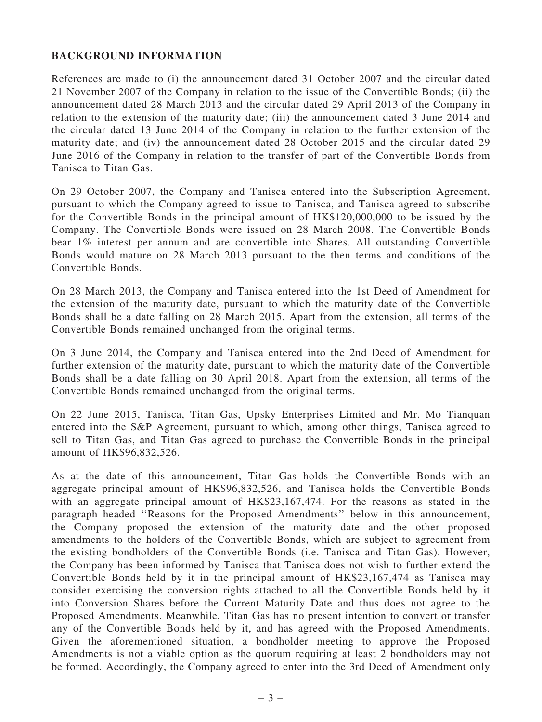## BACKGROUND INFORMATION

References are made to (i) the announcement dated 31 October 2007 and the circular dated 21 November 2007 of the Company in relation to the issue of the Convertible Bonds; (ii) the announcement dated 28 March 2013 and the circular dated 29 April 2013 of the Company in relation to the extension of the maturity date; (iii) the announcement dated 3 June 2014 and the circular dated 13 June 2014 of the Company in relation to the further extension of the maturity date; and (iv) the announcement dated 28 October 2015 and the circular dated 29 June 2016 of the Company in relation to the transfer of part of the Convertible Bonds from Tanisca to Titan Gas.

On 29 October 2007, the Company and Tanisca entered into the Subscription Agreement, pursuant to which the Company agreed to issue to Tanisca, and Tanisca agreed to subscribe for the Convertible Bonds in the principal amount of HK\$120,000,000 to be issued by the Company. The Convertible Bonds were issued on 28 March 2008. The Convertible Bonds bear 1% interest per annum and are convertible into Shares. All outstanding Convertible Bonds would mature on 28 March 2013 pursuant to the then terms and conditions of the Convertible Bonds.

On 28 March 2013, the Company and Tanisca entered into the 1st Deed of Amendment for the extension of the maturity date, pursuant to which the maturity date of the Convertible Bonds shall be a date falling on 28 March 2015. Apart from the extension, all terms of the Convertible Bonds remained unchanged from the original terms.

On 3 June 2014, the Company and Tanisca entered into the 2nd Deed of Amendment for further extension of the maturity date, pursuant to which the maturity date of the Convertible Bonds shall be a date falling on 30 April 2018. Apart from the extension, all terms of the Convertible Bonds remained unchanged from the original terms.

On 22 June 2015, Tanisca, Titan Gas, Upsky Enterprises Limited and Mr. Mo Tianquan entered into the S&P Agreement, pursuant to which, among other things, Tanisca agreed to sell to Titan Gas, and Titan Gas agreed to purchase the Convertible Bonds in the principal amount of HK\$96,832,526.

As at the date of this announcement, Titan Gas holds the Convertible Bonds with an aggregate principal amount of HK\$96,832,526, and Tanisca holds the Convertible Bonds with an aggregate principal amount of HK\$23,167,474. For the reasons as stated in the paragraph headed ''Reasons for the Proposed Amendments'' below in this announcement, the Company proposed the extension of the maturity date and the other proposed amendments to the holders of the Convertible Bonds, which are subject to agreement from the existing bondholders of the Convertible Bonds (i.e. Tanisca and Titan Gas). However, the Company has been informed by Tanisca that Tanisca does not wish to further extend the Convertible Bonds held by it in the principal amount of HK\$23,167,474 as Tanisca may consider exercising the conversion rights attached to all the Convertible Bonds held by it into Conversion Shares before the Current Maturity Date and thus does not agree to the Proposed Amendments. Meanwhile, Titan Gas has no present intention to convert or transfer any of the Convertible Bonds held by it, and has agreed with the Proposed Amendments. Given the aforementioned situation, a bondholder meeting to approve the Proposed Amendments is not a viable option as the quorum requiring at least 2 bondholders may not be formed. Accordingly, the Company agreed to enter into the 3rd Deed of Amendment only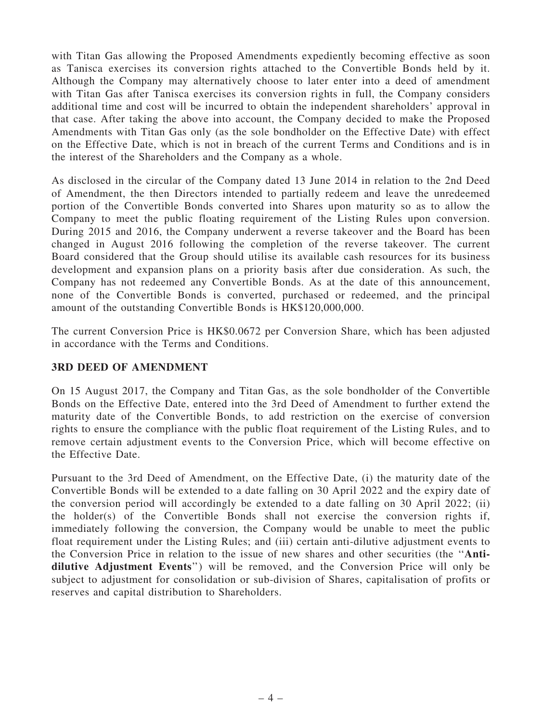with Titan Gas allowing the Proposed Amendments expediently becoming effective as soon as Tanisca exercises its conversion rights attached to the Convertible Bonds held by it. Although the Company may alternatively choose to later enter into a deed of amendment with Titan Gas after Tanisca exercises its conversion rights in full, the Company considers additional time and cost will be incurred to obtain the independent shareholders' approval in that case. After taking the above into account, the Company decided to make the Proposed Amendments with Titan Gas only (as the sole bondholder on the Effective Date) with effect on the Effective Date, which is not in breach of the current Terms and Conditions and is in the interest of the Shareholders and the Company as a whole.

As disclosed in the circular of the Company dated 13 June 2014 in relation to the 2nd Deed of Amendment, the then Directors intended to partially redeem and leave the unredeemed portion of the Convertible Bonds converted into Shares upon maturity so as to allow the Company to meet the public floating requirement of the Listing Rules upon conversion. During 2015 and 2016, the Company underwent a reverse takeover and the Board has been changed in August 2016 following the completion of the reverse takeover. The current Board considered that the Group should utilise its available cash resources for its business development and expansion plans on a priority basis after due consideration. As such, the Company has not redeemed any Convertible Bonds. As at the date of this announcement, none of the Convertible Bonds is converted, purchased or redeemed, and the principal amount of the outstanding Convertible Bonds is HK\$120,000,000.

The current Conversion Price is HK\$0.0672 per Conversion Share, which has been adjusted in accordance with the Terms and Conditions.

# 3RD DEED OF AMENDMENT

On 15 August 2017, the Company and Titan Gas, as the sole bondholder of the Convertible Bonds on the Effective Date, entered into the 3rd Deed of Amendment to further extend the maturity date of the Convertible Bonds, to add restriction on the exercise of conversion rights to ensure the compliance with the public float requirement of the Listing Rules, and to remove certain adjustment events to the Conversion Price, which will become effective on the Effective Date.

Pursuant to the 3rd Deed of Amendment, on the Effective Date, (i) the maturity date of the Convertible Bonds will be extended to a date falling on 30 April 2022 and the expiry date of the conversion period will accordingly be extended to a date falling on 30 April 2022; (ii) the holder(s) of the Convertible Bonds shall not exercise the conversion rights if, immediately following the conversion, the Company would be unable to meet the public float requirement under the Listing Rules; and (iii) certain anti-dilutive adjustment events to the Conversion Price in relation to the issue of new shares and other securities (the ''Antidilutive Adjustment Events'') will be removed, and the Conversion Price will only be subject to adjustment for consolidation or sub-division of Shares, capitalisation of profits or reserves and capital distribution to Shareholders.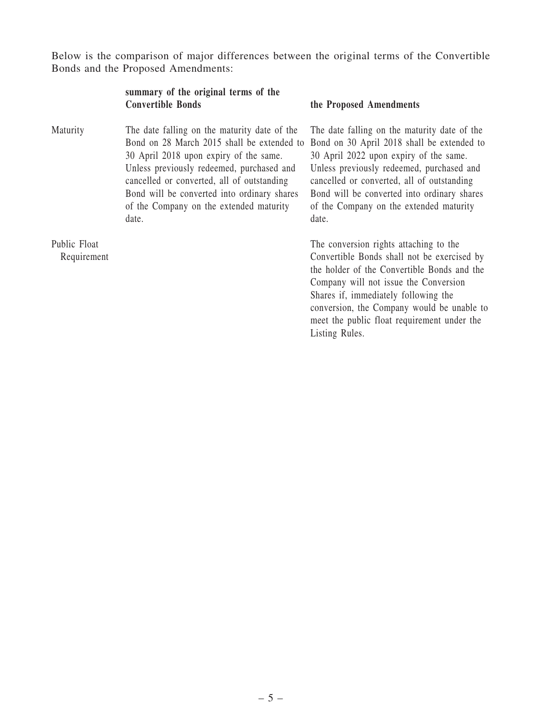Below is the comparison of major differences between the original terms of the Convertible Bonds and the Proposed Amendments:

| summary of the original terms of the |  |  |  |
|--------------------------------------|--|--|--|
| <b>Convertible Bonds</b>             |  |  |  |

Maturity The date falling on the maturity date of the Bond on 28 March 2015 shall be extended to 30 April 2018 upon expiry of the same. Unless previously redeemed, purchased and cancelled or converted, all of outstanding Bond will be converted into ordinary shares of the Company on the extended maturity date.

Public Float Requirement

#### the Proposed Amendments

The date falling on the maturity date of the Bond on 30 April 2018 shall be extended to 30 April 2022 upon expiry of the same. Unless previously redeemed, purchased and cancelled or converted, all of outstanding Bond will be converted into ordinary shares of the Company on the extended maturity date.

The conversion rights attaching to the Convertible Bonds shall not be exercised by the holder of the Convertible Bonds and the Company will not issue the Conversion Shares if, immediately following the conversion, the Company would be unable to meet the public float requirement under the Listing Rules.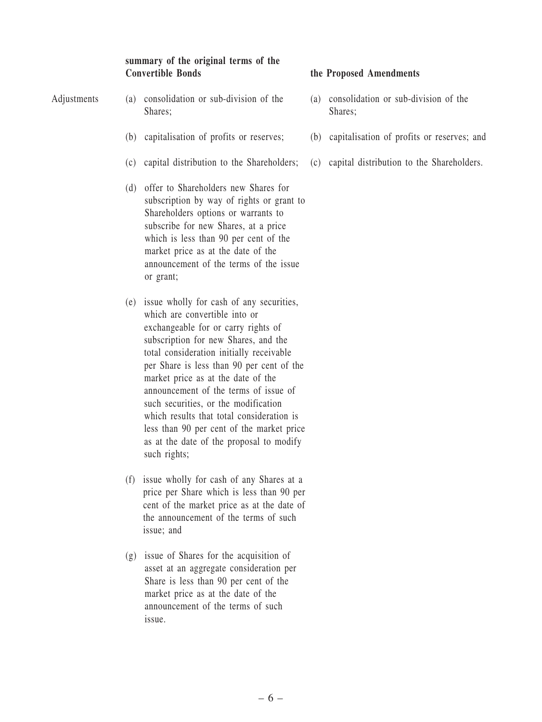## summary of the original terms of the Convertible Bonds the Proposed Amendments

- Adjustments (a) consolidation or sub-division of the Shares;
	- (b) capitalisation of profits or reserves;
	- (c) capital distribution to the Shareholders;
	- (d) offer to Shareholders new Shares for subscription by way of rights or grant to Shareholders options or warrants to subscribe for new Shares, at a price which is less than 90 per cent of the market price as at the date of the announcement of the terms of the issue or grant;
	- (e) issue wholly for cash of any securities, which are convertible into or exchangeable for or carry rights of subscription for new Shares, and the total consideration initially receivable per Share is less than 90 per cent of the market price as at the date of the announcement of the terms of issue of such securities, or the modification which results that total consideration is less than 90 per cent of the market price as at the date of the proposal to modify such rights;
	- (f) issue wholly for cash of any Shares at a price per Share which is less than 90 per cent of the market price as at the date of the announcement of the terms of such issue; and
	- (g) issue of Shares for the acquisition of asset at an aggregate consideration per Share is less than 90 per cent of the market price as at the date of the announcement of the terms of such issue.

- (a) consolidation or sub-division of the Shares;
- (b) capitalisation of profits or reserves; and
- (c) capital distribution to the Shareholders.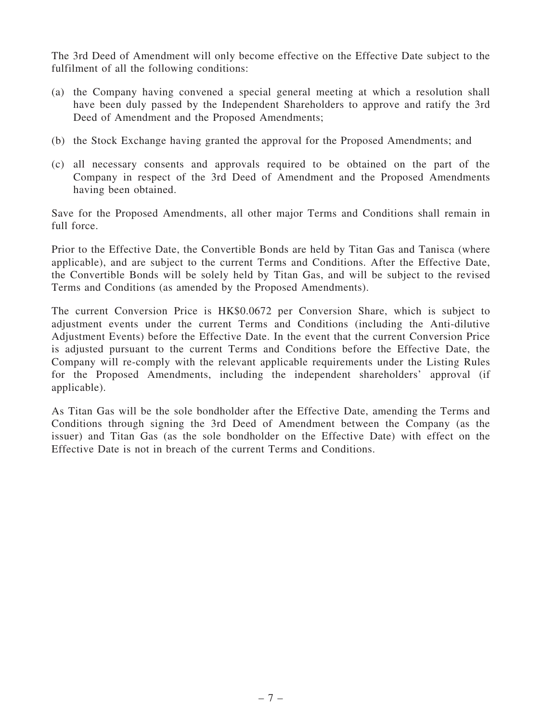The 3rd Deed of Amendment will only become effective on the Effective Date subject to the fulfilment of all the following conditions:

- (a) the Company having convened a special general meeting at which a resolution shall have been duly passed by the Independent Shareholders to approve and ratify the 3rd Deed of Amendment and the Proposed Amendments;
- (b) the Stock Exchange having granted the approval for the Proposed Amendments; and
- (c) all necessary consents and approvals required to be obtained on the part of the Company in respect of the 3rd Deed of Amendment and the Proposed Amendments having been obtained.

Save for the Proposed Amendments, all other major Terms and Conditions shall remain in full force.

Prior to the Effective Date, the Convertible Bonds are held by Titan Gas and Tanisca (where applicable), and are subject to the current Terms and Conditions. After the Effective Date, the Convertible Bonds will be solely held by Titan Gas, and will be subject to the revised Terms and Conditions (as amended by the Proposed Amendments).

The current Conversion Price is HK\$0.0672 per Conversion Share, which is subject to adjustment events under the current Terms and Conditions (including the Anti-dilutive Adjustment Events) before the Effective Date. In the event that the current Conversion Price is adjusted pursuant to the current Terms and Conditions before the Effective Date, the Company will re-comply with the relevant applicable requirements under the Listing Rules for the Proposed Amendments, including the independent shareholders' approval (if applicable).

As Titan Gas will be the sole bondholder after the Effective Date, amending the Terms and Conditions through signing the 3rd Deed of Amendment between the Company (as the issuer) and Titan Gas (as the sole bondholder on the Effective Date) with effect on the Effective Date is not in breach of the current Terms and Conditions.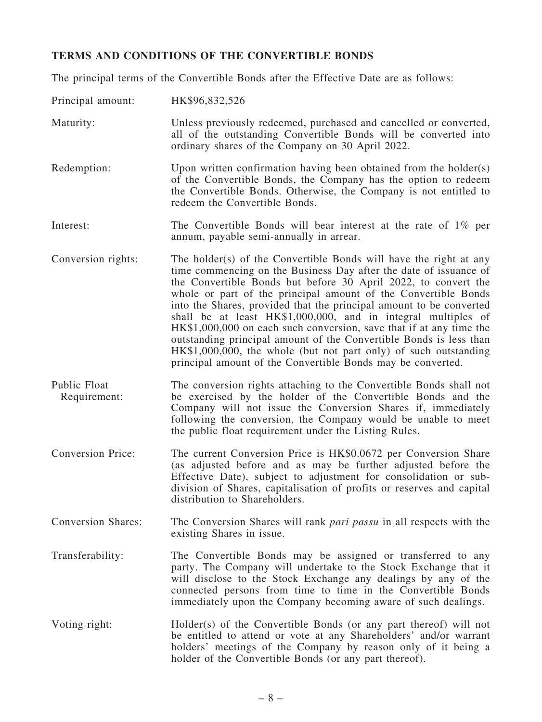# TERMS AND CONDITIONS OF THE CONVERTIBLE BONDS

The principal terms of the Convertible Bonds after the Effective Date are as follows:

| Principal amount:            | HK\$96,832,526                                                                                                                                                                                                                                                                                                                                                                                                                                                                                                                                                                                                                                                                                     |
|------------------------------|----------------------------------------------------------------------------------------------------------------------------------------------------------------------------------------------------------------------------------------------------------------------------------------------------------------------------------------------------------------------------------------------------------------------------------------------------------------------------------------------------------------------------------------------------------------------------------------------------------------------------------------------------------------------------------------------------|
| Maturity:                    | Unless previously redeemed, purchased and cancelled or converted,<br>all of the outstanding Convertible Bonds will be converted into<br>ordinary shares of the Company on 30 April 2022.                                                                                                                                                                                                                                                                                                                                                                                                                                                                                                           |
| Redemption:                  | Upon written confirmation having been obtained from the holder(s)<br>of the Convertible Bonds, the Company has the option to redeem<br>the Convertible Bonds. Otherwise, the Company is not entitled to<br>redeem the Convertible Bonds.                                                                                                                                                                                                                                                                                                                                                                                                                                                           |
| Interest:                    | The Convertible Bonds will bear interest at the rate of $1\%$ per<br>annum, payable semi-annually in arrear.                                                                                                                                                                                                                                                                                                                                                                                                                                                                                                                                                                                       |
| Conversion rights:           | The holder(s) of the Convertible Bonds will have the right at any<br>time commencing on the Business Day after the date of issuance of<br>the Convertible Bonds but before 30 April 2022, to convert the<br>whole or part of the principal amount of the Convertible Bonds<br>into the Shares, provided that the principal amount to be converted<br>shall be at least HK\$1,000,000, and in integral multiples of<br>HK\$1,000,000 on each such conversion, save that if at any time the<br>outstanding principal amount of the Convertible Bonds is less than<br>HK\$1,000,000, the whole (but not part only) of such outstanding<br>principal amount of the Convertible Bonds may be converted. |
| Public Float<br>Requirement: | The conversion rights attaching to the Convertible Bonds shall not<br>be exercised by the holder of the Convertible Bonds and the<br>Company will not issue the Conversion Shares if, immediately<br>following the conversion, the Company would be unable to meet<br>the public float requirement under the Listing Rules.                                                                                                                                                                                                                                                                                                                                                                        |
| <b>Conversion Price:</b>     | The current Conversion Price is HK\$0.0672 per Conversion Share<br>(as adjusted before and as may be further adjusted before the<br>Effective Date), subject to adjustment for consolidation or sub-<br>division of Shares, capitalisation of profits or reserves and capital<br>distribution to Shareholders.                                                                                                                                                                                                                                                                                                                                                                                     |
| <b>Conversion Shares:</b>    | The Conversion Shares will rank <i>pari passu</i> in all respects with the<br>existing Shares in issue.                                                                                                                                                                                                                                                                                                                                                                                                                                                                                                                                                                                            |
| Transferability:             | The Convertible Bonds may be assigned or transferred to any<br>party. The Company will undertake to the Stock Exchange that it<br>will disclose to the Stock Exchange any dealings by any of the<br>connected persons from time to time in the Convertible Bonds<br>immediately upon the Company becoming aware of such dealings.                                                                                                                                                                                                                                                                                                                                                                  |
| Voting right:                | Holder(s) of the Convertible Bonds (or any part thereof) will not<br>be entitled to attend or vote at any Shareholders' and/or warrant<br>holders' meetings of the Company by reason only of it being a<br>holder of the Convertible Bonds (or any part thereof).                                                                                                                                                                                                                                                                                                                                                                                                                                  |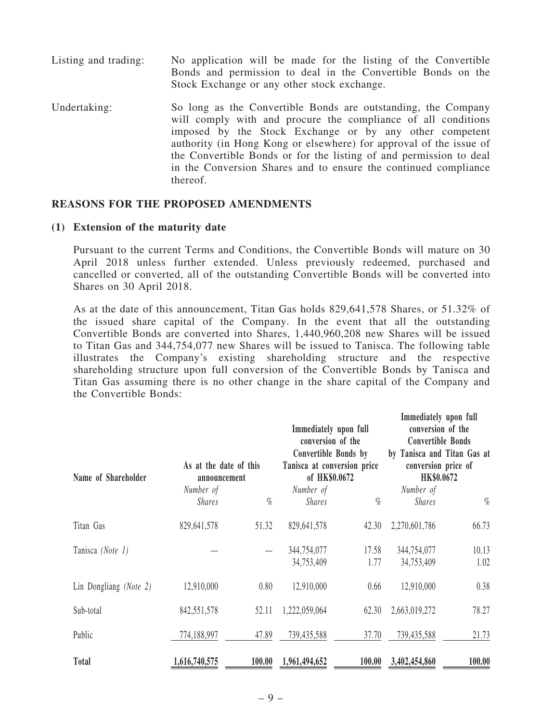- Listing and trading: No application will be made for the listing of the Convertible Bonds and permission to deal in the Convertible Bonds on the Stock Exchange or any other stock exchange.
- Undertaking: So long as the Convertible Bonds are outstanding, the Company will comply with and procure the compliance of all conditions imposed by the Stock Exchange or by any other competent authority (in Hong Kong or elsewhere) for approval of the issue of the Convertible Bonds or for the listing of and permission to deal in the Conversion Shares and to ensure the continued compliance thereof.

#### REASONS FOR THE PROPOSED AMENDMENTS

#### (1) Extension of the maturity date

Pursuant to the current Terms and Conditions, the Convertible Bonds will mature on 30 April 2018 unless further extended. Unless previously redeemed, purchased and cancelled or converted, all of the outstanding Convertible Bonds will be converted into Shares on 30 April 2018.

As at the date of this announcement, Titan Gas holds 829,641,578 Shares, or 51.32% of the issued share capital of the Company. In the event that all the outstanding Convertible Bonds are converted into Shares, 1,440,960,208 new Shares will be issued to Titan Gas and 344,754,077 new Shares will be issued to Tanisca. The following table illustrates the Company's existing shareholding structure and the respective shareholding structure upon full conversion of the Convertible Bonds by Tanisca and Titan Gas assuming there is no other change in the share capital of the Company and the Convertible Bonds:

| Name of Shareholder    | As at the date of this<br>announcement |        | Immediately upon full<br>conversion of the<br>Convertible Bonds by<br>Tanisca at conversion price<br>of HK\$0.0672 |        | Immediately upon full<br>conversion of the<br><b>Convertible Bonds</b><br>by Tanisca and Titan Gas at<br>conversion price of<br>HK\$0.0672 |        |
|------------------------|----------------------------------------|--------|--------------------------------------------------------------------------------------------------------------------|--------|--------------------------------------------------------------------------------------------------------------------------------------------|--------|
|                        | Number of                              |        | Number of                                                                                                          |        | Number of                                                                                                                                  |        |
|                        | <b>Shares</b>                          | $\%$   | <i>Shares</i>                                                                                                      | $\%$   | <i>Shares</i>                                                                                                                              | $\%$   |
| Titan Gas              | 829,641,578                            | 51.32  | 829,641,578                                                                                                        | 42.30  | 2,270,601,786                                                                                                                              | 66.73  |
| Tanisca (Note 1)       |                                        |        | 344,754,077                                                                                                        | 17.58  | 344,754,077                                                                                                                                | 10.13  |
|                        |                                        |        | 34,753,409                                                                                                         | 1.77   | 34,753,409                                                                                                                                 | 1.02   |
| Lin Dongliang (Note 2) | 12,910,000                             | 0.80   | 12,910,000                                                                                                         | 0.66   | 12,910,000                                                                                                                                 | 0.38   |
| Sub-total              | 842,551,578                            | 52.11  | 1,222,059,064                                                                                                      | 62.30  | 2,663,019,272                                                                                                                              | 78.27  |
| Public                 | 774,188,997                            | 47.89  | 739,435,588                                                                                                        | 37.70  | 739,435,588                                                                                                                                | 21.73  |
| <b>Total</b>           | 1,616,740,575                          | 100.00 | 1,961,494,652                                                                                                      | 100.00 | 3,402,454,860                                                                                                                              | 100.00 |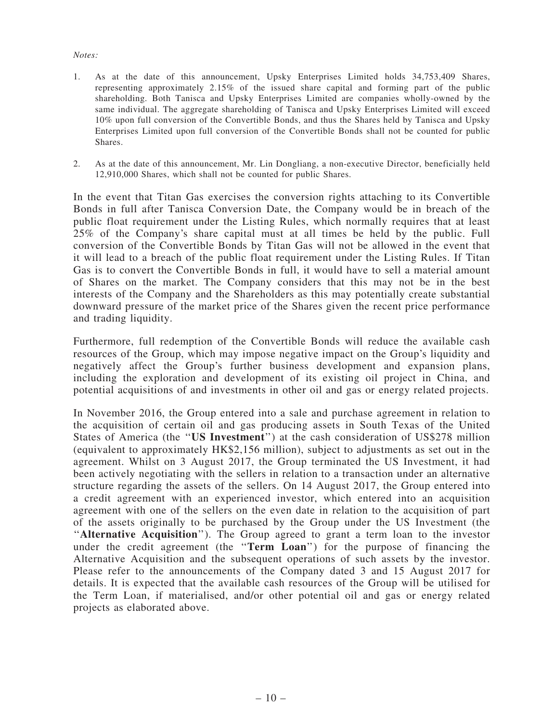#### Notes:

- 1. As at the date of this announcement, Upsky Enterprises Limited holds 34,753,409 Shares, representing approximately 2.15% of the issued share capital and forming part of the public shareholding. Both Tanisca and Upsky Enterprises Limited are companies wholly-owned by the same individual. The aggregate shareholding of Tanisca and Upsky Enterprises Limited will exceed 10% upon full conversion of the Convertible Bonds, and thus the Shares held by Tanisca and Upsky Enterprises Limited upon full conversion of the Convertible Bonds shall not be counted for public Shares.
- 2. As at the date of this announcement, Mr. Lin Dongliang, a non-executive Director, beneficially held 12,910,000 Shares, which shall not be counted for public Shares.

In the event that Titan Gas exercises the conversion rights attaching to its Convertible Bonds in full after Tanisca Conversion Date, the Company would be in breach of the public float requirement under the Listing Rules, which normally requires that at least 25% of the Company's share capital must at all times be held by the public. Full conversion of the Convertible Bonds by Titan Gas will not be allowed in the event that it will lead to a breach of the public float requirement under the Listing Rules. If Titan Gas is to convert the Convertible Bonds in full, it would have to sell a material amount of Shares on the market. The Company considers that this may not be in the best interests of the Company and the Shareholders as this may potentially create substantial downward pressure of the market price of the Shares given the recent price performance and trading liquidity.

Furthermore, full redemption of the Convertible Bonds will reduce the available cash resources of the Group, which may impose negative impact on the Group's liquidity and negatively affect the Group's further business development and expansion plans, including the exploration and development of its existing oil project in China, and potential acquisitions of and investments in other oil and gas or energy related projects.

In November 2016, the Group entered into a sale and purchase agreement in relation to the acquisition of certain oil and gas producing assets in South Texas of the United States of America (the ''US Investment'') at the cash consideration of US\$278 million (equivalent to approximately HK\$2,156 million), subject to adjustments as set out in the agreement. Whilst on 3 August 2017, the Group terminated the US Investment, it had been actively negotiating with the sellers in relation to a transaction under an alternative structure regarding the assets of the sellers. On 14 August 2017, the Group entered into a credit agreement with an experienced investor, which entered into an acquisition agreement with one of the sellers on the even date in relation to the acquisition of part of the assets originally to be purchased by the Group under the US Investment (the ''Alternative Acquisition''). The Group agreed to grant a term loan to the investor under the credit agreement (the "Term Loan") for the purpose of financing the Alternative Acquisition and the subsequent operations of such assets by the investor. Please refer to the announcements of the Company dated 3 and 15 August 2017 for details. It is expected that the available cash resources of the Group will be utilised for the Term Loan, if materialised, and/or other potential oil and gas or energy related projects as elaborated above.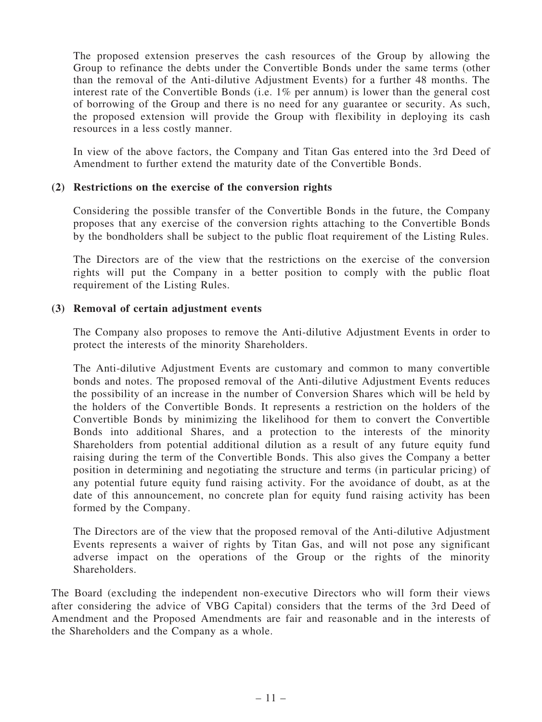The proposed extension preserves the cash resources of the Group by allowing the Group to refinance the debts under the Convertible Bonds under the same terms (other than the removal of the Anti-dilutive Adjustment Events) for a further 48 months. The interest rate of the Convertible Bonds (i.e. 1% per annum) is lower than the general cost of borrowing of the Group and there is no need for any guarantee or security. As such, the proposed extension will provide the Group with flexibility in deploying its cash resources in a less costly manner.

In view of the above factors, the Company and Titan Gas entered into the 3rd Deed of Amendment to further extend the maturity date of the Convertible Bonds.

#### (2) Restrictions on the exercise of the conversion rights

Considering the possible transfer of the Convertible Bonds in the future, the Company proposes that any exercise of the conversion rights attaching to the Convertible Bonds by the bondholders shall be subject to the public float requirement of the Listing Rules.

The Directors are of the view that the restrictions on the exercise of the conversion rights will put the Company in a better position to comply with the public float requirement of the Listing Rules.

## (3) Removal of certain adjustment events

The Company also proposes to remove the Anti-dilutive Adjustment Events in order to protect the interests of the minority Shareholders.

The Anti-dilutive Adjustment Events are customary and common to many convertible bonds and notes. The proposed removal of the Anti-dilutive Adjustment Events reduces the possibility of an increase in the number of Conversion Shares which will be held by the holders of the Convertible Bonds. It represents a restriction on the holders of the Convertible Bonds by minimizing the likelihood for them to convert the Convertible Bonds into additional Shares, and a protection to the interests of the minority Shareholders from potential additional dilution as a result of any future equity fund raising during the term of the Convertible Bonds. This also gives the Company a better position in determining and negotiating the structure and terms (in particular pricing) of any potential future equity fund raising activity. For the avoidance of doubt, as at the date of this announcement, no concrete plan for equity fund raising activity has been formed by the Company.

The Directors are of the view that the proposed removal of the Anti-dilutive Adjustment Events represents a waiver of rights by Titan Gas, and will not pose any significant adverse impact on the operations of the Group or the rights of the minority Shareholders.

The Board (excluding the independent non-executive Directors who will form their views after considering the advice of VBG Capital) considers that the terms of the 3rd Deed of Amendment and the Proposed Amendments are fair and reasonable and in the interests of the Shareholders and the Company as a whole.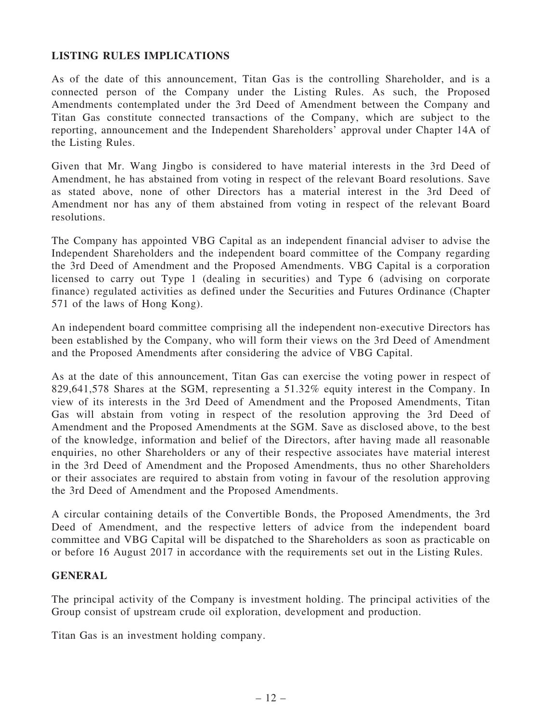# LISTING RULES IMPLICATIONS

As of the date of this announcement, Titan Gas is the controlling Shareholder, and is a connected person of the Company under the Listing Rules. As such, the Proposed Amendments contemplated under the 3rd Deed of Amendment between the Company and Titan Gas constitute connected transactions of the Company, which are subject to the reporting, announcement and the Independent Shareholders' approval under Chapter 14A of the Listing Rules.

Given that Mr. Wang Jingbo is considered to have material interests in the 3rd Deed of Amendment, he has abstained from voting in respect of the relevant Board resolutions. Save as stated above, none of other Directors has a material interest in the 3rd Deed of Amendment nor has any of them abstained from voting in respect of the relevant Board resolutions.

The Company has appointed VBG Capital as an independent financial adviser to advise the Independent Shareholders and the independent board committee of the Company regarding the 3rd Deed of Amendment and the Proposed Amendments. VBG Capital is a corporation licensed to carry out Type 1 (dealing in securities) and Type 6 (advising on corporate finance) regulated activities as defined under the Securities and Futures Ordinance (Chapter 571 of the laws of Hong Kong).

An independent board committee comprising all the independent non-executive Directors has been established by the Company, who will form their views on the 3rd Deed of Amendment and the Proposed Amendments after considering the advice of VBG Capital.

As at the date of this announcement, Titan Gas can exercise the voting power in respect of 829,641,578 Shares at the SGM, representing a 51.32% equity interest in the Company. In view of its interests in the 3rd Deed of Amendment and the Proposed Amendments, Titan Gas will abstain from voting in respect of the resolution approving the 3rd Deed of Amendment and the Proposed Amendments at the SGM. Save as disclosed above, to the best of the knowledge, information and belief of the Directors, after having made all reasonable enquiries, no other Shareholders or any of their respective associates have material interest in the 3rd Deed of Amendment and the Proposed Amendments, thus no other Shareholders or their associates are required to abstain from voting in favour of the resolution approving the 3rd Deed of Amendment and the Proposed Amendments.

A circular containing details of the Convertible Bonds, the Proposed Amendments, the 3rd Deed of Amendment, and the respective letters of advice from the independent board committee and VBG Capital will be dispatched to the Shareholders as soon as practicable on or before 16 August 2017 in accordance with the requirements set out in the Listing Rules.

#### **GENERAL**

The principal activity of the Company is investment holding. The principal activities of the Group consist of upstream crude oil exploration, development and production.

Titan Gas is an investment holding company.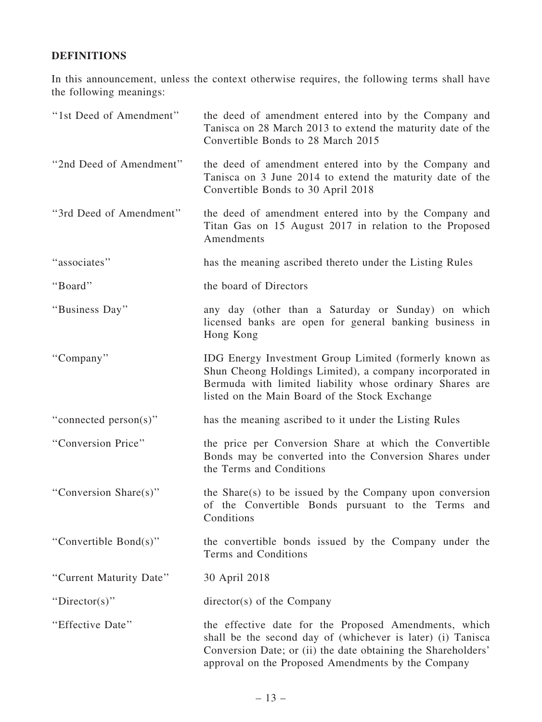# DEFINITIONS

In this announcement, unless the context otherwise requires, the following terms shall have the following meanings:

| "1st Deed of Amendment" | the deed of amendment entered into by the Company and<br>Tanisca on 28 March 2013 to extend the maturity date of the<br>Convertible Bonds to 28 March 2015                                                                                  |
|-------------------------|---------------------------------------------------------------------------------------------------------------------------------------------------------------------------------------------------------------------------------------------|
| "2nd Deed of Amendment" | the deed of amendment entered into by the Company and<br>Tanisca on 3 June 2014 to extend the maturity date of the<br>Convertible Bonds to 30 April 2018                                                                                    |
| "3rd Deed of Amendment" | the deed of amendment entered into by the Company and<br>Titan Gas on 15 August 2017 in relation to the Proposed<br>Amendments                                                                                                              |
| "associates"            | has the meaning ascribed thereto under the Listing Rules                                                                                                                                                                                    |
| "Board"                 | the board of Directors                                                                                                                                                                                                                      |
| "Business Day"          | any day (other than a Saturday or Sunday) on which<br>licensed banks are open for general banking business in<br>Hong Kong                                                                                                                  |
| "Company"               | IDG Energy Investment Group Limited (formerly known as<br>Shun Cheong Holdings Limited), a company incorporated in<br>Bermuda with limited liability whose ordinary Shares are<br>listed on the Main Board of the Stock Exchange            |
| "connected person(s)"   | has the meaning ascribed to it under the Listing Rules                                                                                                                                                                                      |
| "Conversion Price"      | the price per Conversion Share at which the Convertible<br>Bonds may be converted into the Conversion Shares under<br>the Terms and Conditions                                                                                              |
| "Conversion Share(s)"   | the Share(s) to be issued by the Company upon conversion<br>of the Convertible Bonds pursuant to the Terms and<br>Conditions                                                                                                                |
| "Convertible Bond(s)"   | the convertible bonds issued by the Company under the<br>Terms and Conditions                                                                                                                                                               |
| "Current Maturity Date" | 30 April 2018                                                                                                                                                                                                                               |
| "Director(s)"           | director(s) of the Company                                                                                                                                                                                                                  |
| "Effective Date"        | the effective date for the Proposed Amendments, which<br>shall be the second day of (whichever is later) (i) Tanisca<br>Conversion Date; or (ii) the date obtaining the Shareholders'<br>approval on the Proposed Amendments by the Company |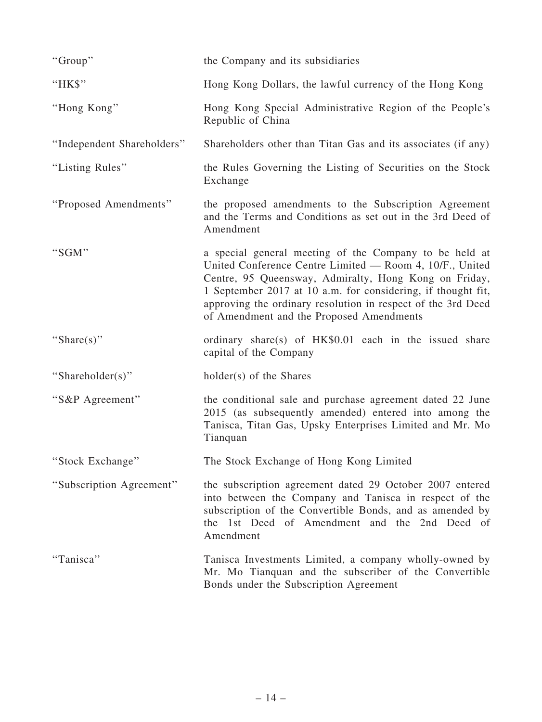| "Group"                    | the Company and its subsidiaries                                                                                                                                                                                                                                                                                                                        |
|----------------------------|---------------------------------------------------------------------------------------------------------------------------------------------------------------------------------------------------------------------------------------------------------------------------------------------------------------------------------------------------------|
| "HK\$"                     | Hong Kong Dollars, the lawful currency of the Hong Kong                                                                                                                                                                                                                                                                                                 |
| "Hong Kong"                | Hong Kong Special Administrative Region of the People's<br>Republic of China                                                                                                                                                                                                                                                                            |
| "Independent Shareholders" | Shareholders other than Titan Gas and its associates (if any)                                                                                                                                                                                                                                                                                           |
| "Listing Rules"            | the Rules Governing the Listing of Securities on the Stock<br>Exchange                                                                                                                                                                                                                                                                                  |
| "Proposed Amendments"      | the proposed amendments to the Subscription Agreement<br>and the Terms and Conditions as set out in the 3rd Deed of<br>Amendment                                                                                                                                                                                                                        |
| "SGM"                      | a special general meeting of the Company to be held at<br>United Conference Centre Limited — Room 4, 10/F., United<br>Centre, 95 Queensway, Admiralty, Hong Kong on Friday,<br>1 September 2017 at 10 a.m. for considering, if thought fit,<br>approving the ordinary resolution in respect of the 3rd Deed<br>of Amendment and the Proposed Amendments |
| "Share $(s)$ "             | ordinary share(s) of HK\$0.01 each in the issued share<br>capital of the Company                                                                                                                                                                                                                                                                        |
| "Shareholder(s)"           | holder(s) of the Shares                                                                                                                                                                                                                                                                                                                                 |
| "S&P Agreement"            | the conditional sale and purchase agreement dated 22 June<br>2015 (as subsequently amended) entered into among the<br>Tanisca, Titan Gas, Upsky Enterprises Limited and Mr. Mo<br>Tianquan                                                                                                                                                              |
| "Stock Exchange"           | The Stock Exchange of Hong Kong Limited                                                                                                                                                                                                                                                                                                                 |
| "Subscription Agreement"   | the subscription agreement dated 29 October 2007 entered<br>into between the Company and Tanisca in respect of the<br>subscription of the Convertible Bonds, and as amended by<br>the 1st Deed of Amendment and the 2nd Deed of<br>Amendment                                                                                                            |
| "Tanisca"                  | Tanisca Investments Limited, a company wholly-owned by<br>Mr. Mo Tianquan and the subscriber of the Convertible<br>Bonds under the Subscription Agreement                                                                                                                                                                                               |